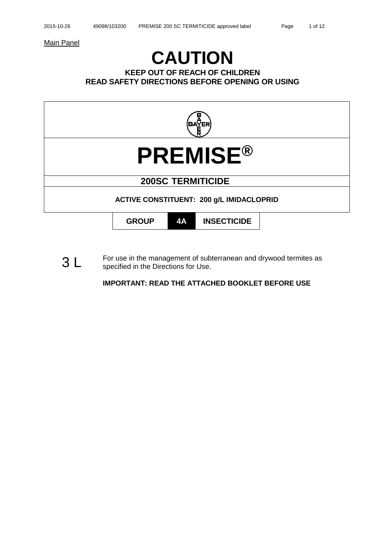Main Panel

# **CAUTION**

**KEEP OUT OF REACH OF CHILDREN READ SAFETY DIRECTIONS BEFORE OPENING OR USING**



 $3 L$  For use in the management of subterranean and drywood termites as specified in the Directions for Lise specified in the Directions for Use.

**IMPORTANT: READ THE ATTACHED BOOKLET BEFORE USE**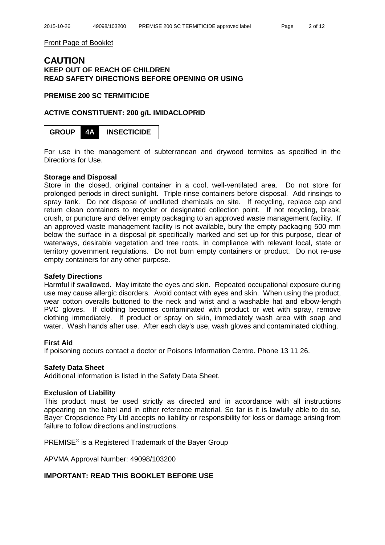Front Page of Booklet

# **CAUTION KEEP OUT OF REACH OF CHILDREN READ SAFETY DIRECTIONS BEFORE OPENING OR USING**

# **PREMISE 200 SC TERMITICIDE**

# **ACTIVE CONSTITUENT: 200 g/L IMIDACLOPRID**

**GROUP 4A INSECTICIDE**

For use in the management of subterranean and drywood termites as specified in the Directions for Use.

## **Storage and Disposal**

Store in the closed, original container in a cool, well-ventilated area. Do not store for prolonged periods in direct sunlight. Triple-rinse containers before disposal. Add rinsings to spray tank. Do not dispose of undiluted chemicals on site. If recycling, replace cap and return clean containers to recycler or designated collection point. If not recycling, break, crush, or puncture and deliver empty packaging to an approved waste management facility. If an approved waste management facility is not available, bury the empty packaging 500 mm below the surface in a disposal pit specifically marked and set up for this purpose, clear of waterways, desirable vegetation and tree roots, in compliance with relevant local, state or territory government regulations. Do not burn empty containers or product. Do not re-use empty containers for any other purpose.

# **Safety Directions**

Harmful if swallowed. May irritate the eyes and skin. Repeated occupational exposure during use may cause allergic disorders. Avoid contact with eyes and skin. When using the product, wear cotton overalls buttoned to the neck and wrist and a washable hat and elbow-length PVC gloves. If clothing becomes contaminated with product or wet with spray, remove clothing immediately. If product or spray on skin, immediately wash area with soap and water. Wash hands after use. After each day's use, wash gloves and contaminated clothing.

# **First Aid**

If poisoning occurs contact a doctor or Poisons Information Centre. Phone 13 11 26.

# **Safety Data Sheet**

Additional information is listed in the Safety Data Sheet.

## **Exclusion of Liability**

This product must be used strictly as directed and in accordance with all instructions appearing on the label and in other reference material. So far is it is lawfully able to do so, Bayer Cropscience Pty Ltd accepts no liability or responsibility for loss or damage arising from failure to follow directions and instructions.

PREMISE<sup>®</sup> is a Registered Trademark of the Bayer Group

APVMA Approval Number: 49098/103200

# **IMPORTANT: READ THIS BOOKLET BEFORE USE**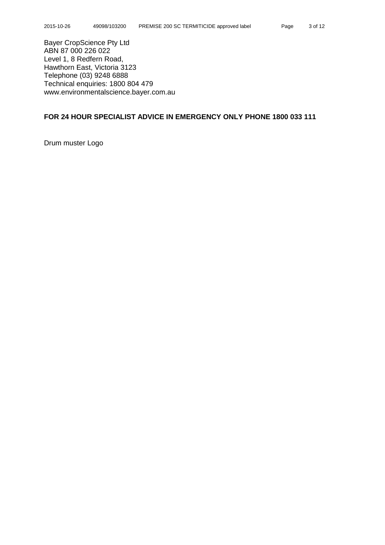Bayer CropScience Pty Ltd ABN 87 000 226 022 Level 1, 8 Redfern Road, Hawthorn East, Victoria 3123 Telephone (03) 9248 6888 Technical enquiries: 1800 804 479 www.environmentalscience.bayer.com.au

# **FOR 24 HOUR SPECIALIST ADVICE IN EMERGENCY ONLY PHONE 1800 033 111**

Drum muster Logo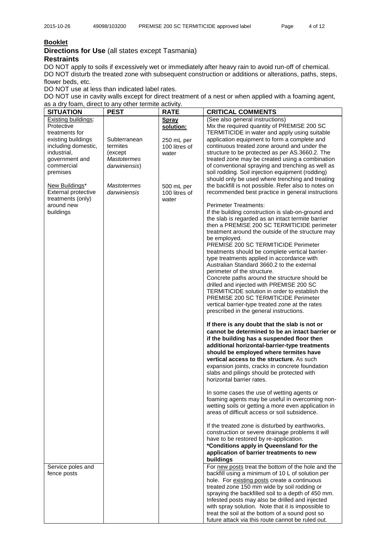# **Booklet**

**Directions for Use** (all states except Tasmania) **Restraints**

DO NOT apply to soils if excessively wet or immediately after heavy rain to avoid run-off of chemical. DO NOT disturb the treated zone with subsequent construction or additions or alterations, paths, steps, flower beds, etc.

DO NOT use at less than indicated label rates.

DO NOT use in cavity walls except for direct treatment of a nest or when applied with a foaming agent, as a dry foam, direct to any other termite activity.

| <b>SITUATION</b>           | <b>PEST</b>        | <b>RATE</b>   | <b>CRITICAL COMMENTS</b>                                                                                |
|----------------------------|--------------------|---------------|---------------------------------------------------------------------------------------------------------|
| Existing buildings:        |                    | Spray         | (See also general instructions)                                                                         |
| Protective                 |                    | solution:     | Mix the required quantity of PREMISE 200 SC                                                             |
| treatments for             |                    |               | TERMITICIDE in water and apply using suitable                                                           |
| existing buildings         | Subterranean       | 250 mL per    | application equipment to form a complete and                                                            |
| including domestic,        | termites           | 100 litres of | continuous treated zone around and under the                                                            |
| industrial,                | (except)           | water         | structure to be protected as per AS.3660.2. The                                                         |
| government and             | <b>Mastotermes</b> |               | treated zone may be created using a combination                                                         |
| commercial                 | darwiniensis)      |               | of conventional spraying and trenching as well as                                                       |
| premises                   |                    |               | soil rodding. Soil injection equipment (rodding)                                                        |
|                            |                    |               | should only be used where trenching and treating                                                        |
| New Buildings*             | <b>Mastotermes</b> | 500 mL per    | the backfill is not possible. Refer also to notes on                                                    |
| <b>External protective</b> | darwiniensis       | 100 litres of | recommended best practice in general instructions                                                       |
| treatments (only)          |                    | water         |                                                                                                         |
| around new                 |                    |               | <b>Perimeter Treatments:</b>                                                                            |
| buildings                  |                    |               | If the building construction is slab-on-ground and<br>the slab is regarded as an intact termite barrier |
|                            |                    |               | then a PREMISE 200 SC TERMITICIDE perimeter                                                             |
|                            |                    |               | treatment around the outside of the structure may                                                       |
|                            |                    |               | be employed.                                                                                            |
|                            |                    |               | PREMISE 200 SC TERMITICIDE Perimeter                                                                    |
|                            |                    |               | treatments should be complete vertical barrier-                                                         |
|                            |                    |               | type treatments applied in accordance with                                                              |
|                            |                    |               | Australian Standard 3660.2 to the external                                                              |
|                            |                    |               | perimeter of the structure.                                                                             |
|                            |                    |               | Concrete paths around the structure should be                                                           |
|                            |                    |               | drilled and injected with PREMISE 200 SC                                                                |
|                            |                    |               | TERMITICIDE solution in order to establish the                                                          |
|                            |                    |               | PREMISE 200 SC TERMITICIDE Perimeter                                                                    |
|                            |                    |               | vertical barrier-type treated zone at the rates                                                         |
|                            |                    |               | prescribed in the general instructions.                                                                 |
|                            |                    |               | If there is any doubt that the slab is not or                                                           |
|                            |                    |               | cannot be determined to be an intact barrier or                                                         |
|                            |                    |               | if the building has a suspended floor then                                                              |
|                            |                    |               | additional horizontal-barrier-type treatments                                                           |
|                            |                    |               | should be employed where termites have                                                                  |
|                            |                    |               | vertical access to the structure. As such                                                               |
|                            |                    |               | expansion joints, cracks in concrete foundation                                                         |
|                            |                    |               | slabs and pilings should be protected with                                                              |
|                            |                    |               | horizontal barrier rates.                                                                               |
|                            |                    |               | In some cases the use of wetting agents or                                                              |
|                            |                    |               | foaming agents may be useful in overcoming non-                                                         |
|                            |                    |               | wetting soils or getting a more even application in                                                     |
|                            |                    |               | areas of difficult access or soil subsidence.                                                           |
|                            |                    |               |                                                                                                         |
|                            |                    |               | If the treated zone is disturbed by earthworks,<br>construction or severe drainage problems it will     |
|                            |                    |               | have to be restored by re-application.                                                                  |
|                            |                    |               |                                                                                                         |
|                            |                    |               | *Conditions apply in Queensland for the<br>application of barrier treatments to new                     |
|                            |                    |               |                                                                                                         |
|                            |                    |               | buildings                                                                                               |
| Service poles and          |                    |               | For new posts treat the bottom of the hole and the<br>backfill using a minimum of 10 L of solution per  |
| fence posts                |                    |               | hole. For existing posts create a continuous                                                            |
|                            |                    |               | treated zone 150 mm wide by soil rodding or                                                             |
|                            |                    |               | spraying the backfilled soil to a depth of 450 mm.                                                      |
|                            |                    |               | Infested posts may also be drilled and injected                                                         |
|                            |                    |               | with spray solution. Note that it is impossible to                                                      |
|                            |                    |               | treat the soil at the bottom of a sound post so                                                         |
|                            |                    |               | future attack via this route cannot be ruled out.                                                       |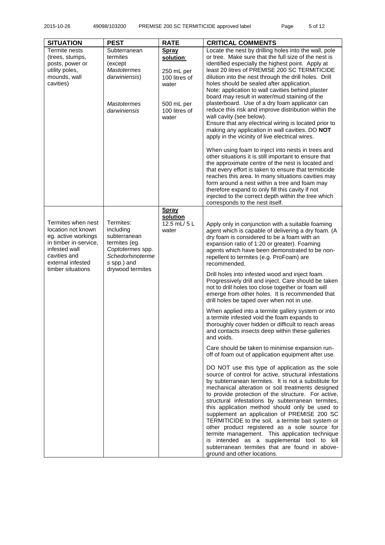| <b>SITUATION</b>                                                                                                                                                    | <b>PEST</b>                                                                                                                        | <b>RATE</b>                                                | <b>CRITICAL COMMENTS</b>                                                                                                                                                                                                                                                                                                                                                                                                                                                                                                                                                                                                                                                                                                  |
|---------------------------------------------------------------------------------------------------------------------------------------------------------------------|------------------------------------------------------------------------------------------------------------------------------------|------------------------------------------------------------|---------------------------------------------------------------------------------------------------------------------------------------------------------------------------------------------------------------------------------------------------------------------------------------------------------------------------------------------------------------------------------------------------------------------------------------------------------------------------------------------------------------------------------------------------------------------------------------------------------------------------------------------------------------------------------------------------------------------------|
| Termite nests<br>(trees, stumps,<br>posts, power or<br>utility poles,<br>mounds, wall<br>cavities)                                                                  | Subterranean<br>termites<br>(except)<br><b>Mastotermes</b><br>darwiniensis)                                                        | Spray<br>solution:<br>250 mL per<br>100 litres of<br>water | Locate the nest by drilling holes into the wall, pole<br>or tree. Make sure that the full size of the nest is<br>identified especially the highest point. Apply at<br>least 20 litres of PREMISE 200 SC TERMITICIDE<br>dilution into the nest through the drill holes. Drill<br>holes should be sealed after application.<br>Note: application to wall cavities behind plaster<br>board may result in water/mud staining of the<br>plasterboard. Use of a dry foam applicator can                                                                                                                                                                                                                                         |
|                                                                                                                                                                     | <b>Mastotermes</b><br>darwiniensis                                                                                                 | 500 mL per<br>100 litres of<br>water                       | reduce this risk and improve distribution within the<br>wall cavity (see below).<br>Ensure that any electrical wiring is located prior to<br>making any application in wall cavities. DO NOT<br>apply in the vicinity of live electrical wires.                                                                                                                                                                                                                                                                                                                                                                                                                                                                           |
|                                                                                                                                                                     |                                                                                                                                    |                                                            | When using foam to inject into nests in trees and<br>other situations it is still important to ensure that<br>the approximate centre of the nest is located and<br>that every effort is taken to ensure that termiticide<br>reaches this area. In many situations cavities may<br>form around a nest within a tree and foam may<br>therefore expand to only fill this cavity if not<br>injected to the correct depth within the tree which<br>corresponds to the nest itself.                                                                                                                                                                                                                                             |
|                                                                                                                                                                     |                                                                                                                                    | Spray                                                      |                                                                                                                                                                                                                                                                                                                                                                                                                                                                                                                                                                                                                                                                                                                           |
| Termites when nest<br>location not known<br>eg. active workings<br>in timber in-service,<br>infested wall<br>cavities and<br>external infested<br>timber situations | Termites:<br>including<br>subterranean<br>termites (eg.<br>Coptotermes spp.<br>Schedorhinoterme<br>s spp.) and<br>drywood termites | solution<br>12.5 mL/ 5 L<br>water                          | Apply only in conjunction with a suitable foaming<br>agent which is capable of delivering a dry foam. (A<br>dry foam is considered to be a foam with an<br>expansion ratio of 1:20 or greater). Foaming<br>agents which have been demonstrated to be non-<br>repellent to termites (e.g. ProFoam) are<br>recommended.                                                                                                                                                                                                                                                                                                                                                                                                     |
|                                                                                                                                                                     |                                                                                                                                    |                                                            | Drill holes into infested wood and inject foam.<br>Progressively drill and inject. Care should be taken<br>not to drill holes too close together or foam will<br>emerge from other holes. It is recommended that<br>drill holes be taped over when not in use.                                                                                                                                                                                                                                                                                                                                                                                                                                                            |
|                                                                                                                                                                     |                                                                                                                                    |                                                            | When applied into a termite gallery system or into<br>a termite infested void the foam expands to<br>thoroughly cover hidden or difficult to reach areas<br>and contacts insects deep within these galleries<br>and voids.                                                                                                                                                                                                                                                                                                                                                                                                                                                                                                |
|                                                                                                                                                                     |                                                                                                                                    |                                                            | Care should be taken to minimise expansion run-<br>off of foam out of application equipment after use.                                                                                                                                                                                                                                                                                                                                                                                                                                                                                                                                                                                                                    |
|                                                                                                                                                                     |                                                                                                                                    |                                                            | DO NOT use this type of application as the sole<br>source of control for active, structural infestations<br>by subterranean termites. It is not a substitute for<br>mechanical alteration or soil treatments designed<br>to provide protection of the structure. For active,<br>structural infestations by subterranean termites,<br>this application method should only be used to<br>supplement an application of PREMISE 200 SC<br>TERMITICIDE to the soil, a termite bait system or<br>other product registered as a sole source for<br>termite management. This application technique<br>is intended as a supplemental tool to kill<br>subterranean termites that are found in above-<br>ground and other locations. |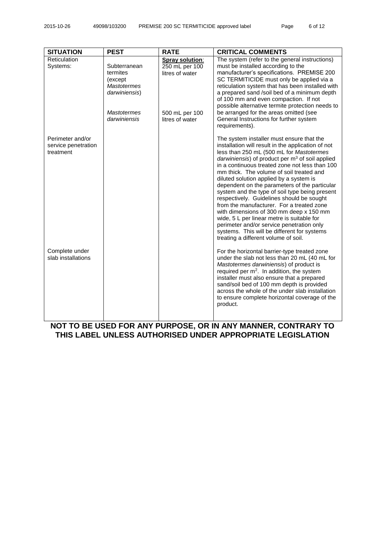| <b>SITUATION</b>                                     | <b>PEST</b>                                                                | <b>RATE</b>                                          | <b>CRITICAL COMMENTS</b>                                                                                                                                                                                                                                                                                                                                                                                                                                                                                                                                                                                                                                                                                                                                            |
|------------------------------------------------------|----------------------------------------------------------------------------|------------------------------------------------------|---------------------------------------------------------------------------------------------------------------------------------------------------------------------------------------------------------------------------------------------------------------------------------------------------------------------------------------------------------------------------------------------------------------------------------------------------------------------------------------------------------------------------------------------------------------------------------------------------------------------------------------------------------------------------------------------------------------------------------------------------------------------|
| Reticulation<br>Systems:                             | Subterranean<br>termites<br>(except<br><b>Mastotermes</b><br>darwiniensis) | Spray solution:<br>250 mL per 100<br>litres of water | The system (refer to the general instructions)<br>must be installed according to the<br>manufacturer's specifications. PREMISE 200<br>SC TERMITICIDE must only be applied via a<br>reticulation system that has been installed with<br>a prepared sand /soil bed of a minimum depth<br>of 100 mm and even compaction. If not<br>possible alternative termite protection needs to                                                                                                                                                                                                                                                                                                                                                                                    |
|                                                      | <b>Mastotermes</b><br>darwiniensis                                         | 500 mL per 100<br>litres of water                    | be arranged for the areas omitted (see<br>General Instructions for further system<br>requirements).                                                                                                                                                                                                                                                                                                                                                                                                                                                                                                                                                                                                                                                                 |
| Perimeter and/or<br>service penetration<br>treatment |                                                                            |                                                      | The system installer must ensure that the<br>installation will result in the application of not<br>less than 250 mL (500 mL for Mastotermes<br>darwiniensis) of product per $m3$ of soil applied<br>in a continuous treated zone not less than 100<br>mm thick. The volume of soil treated and<br>diluted solution applied by a system is<br>dependent on the parameters of the particular<br>system and the type of soil type being present<br>respectively. Guidelines should be sought<br>from the manufacturer. For a treated zone<br>with dimensions of 300 mm deep x 150 mm<br>wide, 5 L per linear metre is suitable for<br>perimeter and/or service penetration only<br>systems. This will be different for systems<br>treating a different volume of soil. |
| Complete under<br>slab installations                 |                                                                            |                                                      | For the horizontal barrier-type treated zone<br>under the slab not less than 20 mL (40 mL for<br>Mastotermes darwiniensis) of product is<br>required per $m^2$ . In addition, the system<br>installer must also ensure that a prepared<br>sand/soil bed of 100 mm depth is provided<br>across the whole of the under slab installation<br>to ensure complete horizontal coverage of the<br>product.                                                                                                                                                                                                                                                                                                                                                                 |

**NOT TO BE USED FOR ANY PURPOSE, OR IN ANY MANNER, CONTRARY TO THIS LABEL UNLESS AUTHORISED UNDER APPROPRIATE LEGISLATION**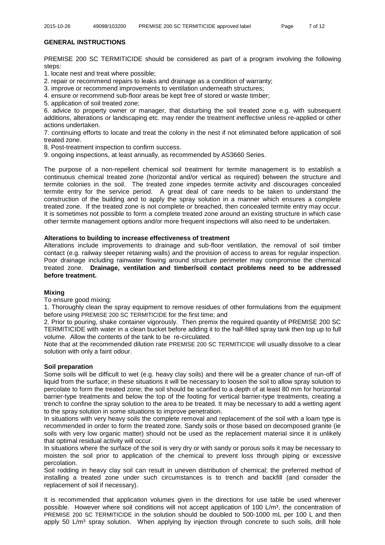## **GENERAL INSTRUCTIONS**

PREMISE 200 SC TERMITICIDE should be considered as part of a program involving the following steps:

1. locate nest and treat where possible;

2. repair or recommend repairs to leaks and drainage as a condition of warranty;

3. improve or recommend improvements to ventilation underneath structures;

4. ensure or recommend sub-floor areas be kept free of stored or waste timber;

5. application of soil treated zone;

6. advice to property owner or manager, that disturbing the soil treated zone e.g. with subsequent additions, alterations or landscaping etc. may render the treatment ineffective unless re-applied or other actions undertaken.

7. continuing efforts to locate and treat the colony in the nest if not eliminated before application of soil treated zone.

8. Post-treatment inspection to confirm success.

9. ongoing inspections, at least annually, as recommended by AS3660 Series.

The purpose of a non-repellent chemical soil treatment for termite management is to establish a continuous chemical treated zone (horizontal and/or vertical as required) between the structure and termite colonies in the soil. The treated zone impedes termite activity and discourages concealed termite entry for the service period. A great deal of care needs to be taken to understand the construction of the building and to apply the spray solution in a manner which ensures a complete treated zone. If the treated zone is not complete or breached, then concealed termite entry may occur. It is sometimes not possible to form a complete treated zone around an existing structure in which case other termite management options and/or more frequent inspections will also need to be undertaken.

#### **Alterations to building to increase effectiveness of treatment**

Alterations include improvements to drainage and sub-floor ventilation, the removal of soil timber contact (e.g. railway sleeper retaining walls) and the provision of access to areas for regular inspection. Poor drainage including rainwater flowing around structure perimeter may compromise the chemical treated zone. **Drainage, ventilation and timber/soil contact problems need to be addressed before treatment.**

#### **Mixing**

To ensure good mixing:

1. Thoroughly clean the spray equipment to remove residues of other formulations from the equipment before using PREMISE 200 SC TERMITICIDE for the first time; and

2. Prior to pouring, shake container vigorously. Then premix the required quantity of PREMISE 200 SC TERMITICIDE with water in a clean bucket before adding it to the half-filled spray tank then top up to full volume. Allow the contents of the tank to be re-circulated.

Note that at the recommended dilution rate PREMISE 200 SC TERMITICIDE will usually dissolve to a clear solution with only a faint odour.

#### **Soil preparation**

Some soils will be difficult to wet (e.g. heavy clay soils) and there will be a greater chance of run-off of liquid from the surface; in these situations it will be necessary to loosen the soil to allow spray solution to percolate to form the treated zone; the soil should be scarified to a depth of at least 80 mm for horizontal barrier-type treatments and below the top of the footing for vertical barrier-type treatments, creating a trench to confine the spray solution to the area to be treated. It may be necessary to add a wetting agent to the spray solution in some situations to improve penetration.

In situations with very heavy soils the complete removal and replacement of the soil with a loam type is recommended in order to form the treated zone. Sandy soils or those based on decomposed granite (ie soils with very low organic matter) should not be used as the replacement material since it is unlikely that optimal residual activity will occur.

In situations where the surface of the soil is very dry or with sandy or porous soils it may be necessary to moisten the soil prior to application of the chemical to prevent loss through piping or excessive percolation.

Soil rodding in heavy clay soil can result in uneven distribution of chemical; the preferred method of installing a treated zone under such circumstances is to trench and backfill (and consider the replacement of soil if necessary).

It is recommended that application volumes given in the directions for use table be used wherever possible. However where soil conditions will not accept application of 100 L/m<sup>3</sup>, the concentration of PREMISE 200 SC TERMITICIDE in the solution should be doubled to 500-1000 mL per 100 L and then apply 50  $\text{L/m}^3$  spray solution. When applying by injection through concrete to such soils, drill hole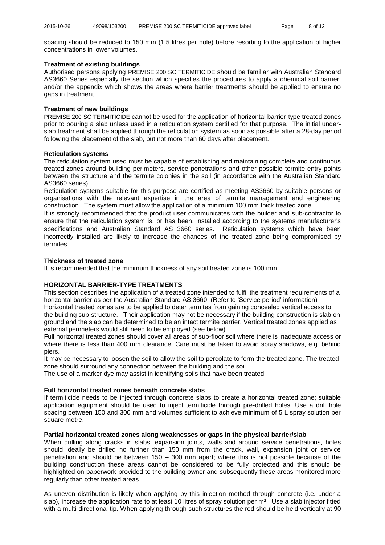spacing should be reduced to 150 mm (1.5 litres per hole) before resorting to the application of higher concentrations in lower volumes.

#### **Treatment of existing buildings**

Authorised persons applying PREMISE 200 SC TERMITICIDE should be familiar with Australian Standard AS3660 Series especially the section which specifies the procedures to apply a chemical soil barrier, and/or the appendix which shows the areas where barrier treatments should be applied to ensure no gaps in treatment.

#### **Treatment of new buildings**

PREMISE 200 SC TERMITICIDE cannot be used for the application of horizontal barrier-type treated zones prior to pouring a slab unless used in a reticulation system certified for that purpose. The initial underslab treatment shall be applied through the reticulation system as soon as possible after a 28-day period following the placement of the slab, but not more than 60 days after placement.

#### **Reticulation systems**

The reticulation system used must be capable of establishing and maintaining complete and continuous treated zones around building perimeters, service penetrations and other possible termite entry points between the structure and the termite colonies in the soil (in accordance with the Australian Standard AS3660 series).

Reticulation systems suitable for this purpose are certified as meeting AS3660 by suitable persons or organisations with the relevant expertise in the area of termite management and engineering construction. The system must allow the application of a minimum 100 mm thick treated zone.

It is strongly recommended that the product user communicates with the builder and sub-contractor to ensure that the reticulation system is, or has been, installed according to the systems manufacturer's specifications and Australian Standard AS 3660 series. Reticulation systems which have been incorrectly installed are likely to increase the chances of the treated zone being compromised by termites.

#### **Thickness of treated zone**

It is recommended that the minimum thickness of any soil treated zone is 100 mm.

#### **HORIZONTAL BARRIER-TYPE TREATMENTS**

This section describes the application of a treated zone intended to fulfil the treatment requirements of a horizontal barrier as per the Australian Standard AS.3660. (Refer to 'Service period' information) Horizontal treated zones are to be applied to deter termites from gaining concealed vertical access to the building sub-structure. Their application may not be necessary if the building construction is slab on ground and the slab can be determined to be an intact termite barrier. Vertical treated zones applied as external perimeters would still need to be employed (see below).

Full horizontal treated zones should cover all areas of sub-floor soil where there is inadequate access or where there is less than 400 mm clearance. Care must be taken to avoid spray shadows, e.g. behind piers.

It may be necessary to loosen the soil to allow the soil to percolate to form the treated zone. The treated zone should surround any connection between the building and the soil.

The use of a marker dye may assist in identifying soils that have been treated.

#### **Full horizontal treated zones beneath concrete slabs**

If termiticide needs to be injected through concrete slabs to create a horizontal treated zone; suitable application equipment should be used to inject termiticide through pre-drilled holes. Use a drill hole spacing between 150 and 300 mm and volumes sufficient to achieve minimum of 5 L spray solution per square metre.

## **Partial horizontal treated zones along weaknesses or gaps in the physical barrier/slab**

When drilling along cracks in slabs, expansion joints, walls and around service penetrations, holes should ideally be drilled no further than 150 mm from the crack, wall, expansion joint or service penetration and should be between 150 – 300 mm apart; where this is not possible because of the building construction these areas cannot be considered to be fully protected and this should be highlighted on paperwork provided to the building owner and subsequently these areas monitored more regularly than other treated areas.

As uneven distribution is likely when applying by this injection method through concrete (i.e. under a slab), increase the application rate to at least 10 litres of spray solution per m<sup>2</sup>. Use a slab injector fitted with a multi-directional tip. When applying through such structures the rod should be held vertically at 90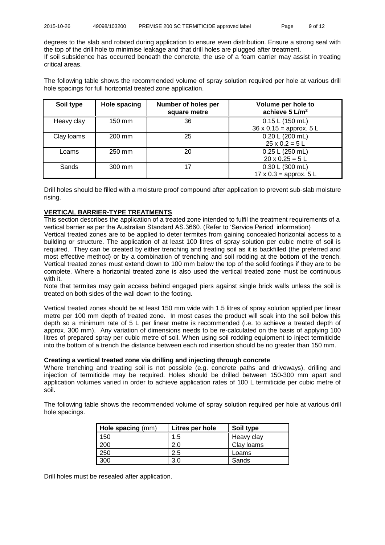degrees to the slab and rotated during application to ensure even distribution. Ensure a strong seal with the top of the drill hole to minimise leakage and that drill holes are plugged after treatment. If soil subsidence has occurred beneath the concrete, the use of a foam carrier may assist in treating critical areas.

The following table shows the recommended volume of spray solution required per hole at various drill hole spacings for full horizontal treated zone application.

| Soil type  | <b>Hole spacing</b> | Number of holes per<br>square metre | Volume per hole to<br>achieve $5 L/m2$                      |
|------------|---------------------|-------------------------------------|-------------------------------------------------------------|
| Heavy clay | 150 mm              | 36                                  | 0.15 L (150 mL)<br>$36 \times 0.15 =$ approx. $5 \text{ L}$ |
| Clay loams | 200 mm              | 25                                  | 0.20 L (200 mL)<br>$25 \times 0.2 = 5$ L                    |
| Loams      | 250 mm              | 20                                  | 0.25 L (250 mL)<br>$20 \times 0.25 = 5$ L                   |
| Sands      | 300 mm              | 17                                  | 0.30 L (300 mL)<br>$17 \times 0.3 =$ approx. $5 \text{ L}$  |

Drill holes should be filled with a moisture proof compound after application to prevent sub-slab moisture rising.

## **VERTICAL BARRIER-TYPE TREATMENTS**

This section describes the application of a treated zone intended to fulfil the treatment requirements of a vertical barrier as per the Australian Standard AS.3660. (Refer to 'Service Period' information)

Vertical treated zones are to be applied to deter termites from gaining concealed horizontal access to a building or structure. The application of at least 100 litres of spray solution per cubic metre of soil is required. They can be created by either trenching and treating soil as it is backfilled (the preferred and most effective method) or by a combination of trenching and soil rodding at the bottom of the trench. Vertical treated zones must extend down to 100 mm below the top of the solid footings if they are to be complete. Where a horizontal treated zone is also used the vertical treated zone must be continuous with it.

Note that termites may gain access behind engaged piers against single brick walls unless the soil is treated on both sides of the wall down to the footing.

Vertical treated zones should be at least 150 mm wide with 1.5 litres of spray solution applied per linear metre per 100 mm depth of treated zone. In most cases the product will soak into the soil below this depth so a minimum rate of 5 L per linear metre is recommended (i.e. to achieve a treated depth of approx. 300 mm). Any variation of dimensions needs to be re-calculated on the basis of applying 100 litres of prepared spray per cubic metre of soil. When using soil rodding equipment to inject termiticide into the bottom of a trench the distance between each rod insertion should be no greater than 150 mm.

#### **Creating a vertical treated zone via drilling and injecting through concrete**

Where trenching and treating soil is not possible (e.g. concrete paths and driveways), drilling and injection of termiticide may be required. Holes should be drilled between 150-300 mm apart and application volumes varied in order to achieve application rates of 100 L termiticide per cubic metre of soil.

The following table shows the recommended volume of spray solution required per hole at various drill hole spacings.

| Hole spacing (mm) | Litres per hole | Soil type  |
|-------------------|-----------------|------------|
| 150               | 1.5             | Heavy clay |
| 200               | 2.0             | Clay loams |
| 250               | 2.5             | Loams      |
| 300               | 3.0             | Sands      |

Drill holes must be resealed after application.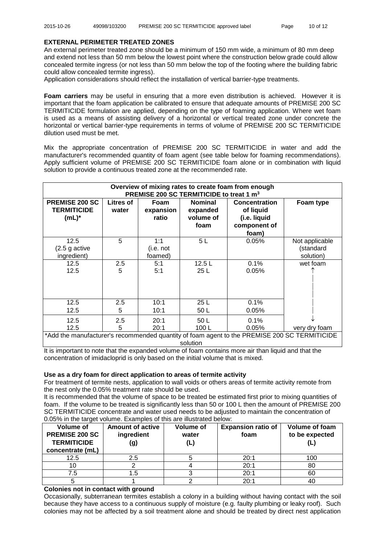#### **EXTERNAL PERIMETER TREATED ZONES**

An external perimeter treated zone should be a minimum of 150 mm wide, a minimum of 80 mm deep and extend not less than 50 mm below the lowest point where the construction below grade could allow concealed termite ingress (or not less than 50 mm below the top of the footing where the building fabric could allow concealed termite ingress).

Application considerations should reflect the installation of vertical barrier-type treatments.

**Foam carriers** may be useful in ensuring that a more even distribution is achieved. However it is important that the foam application be calibrated to ensure that adequate amounts of PREMISE 200 SC TERMITICIDE formulation are applied, depending on the type of foaming application. Where wet foam is used as a means of assisting delivery of a horizontal or vertical treated zone under concrete the horizontal or vertical barrier-type requirements in terms of volume of PREMISE 200 SC TERMITICIDE dilution used must be met.

Mix the appropriate concentration of PREMISE 200 SC TERMITICIDE in water and add the manufacturer's recommended quantity of foam agent (see table below for foaming recommendations). Apply sufficient volume of PREMISE 200 SC TERMITICIDE foam alone or in combination with liquid solution to provide a continuous treated zone at the recommended rate.

| Overview of mixing rates to create foam from enough<br>PREMISE 200 SC TERMITICIDE to treat 1 m <sup>3</sup> |                    |                             |                                                 |                                                                            |                                          |
|-------------------------------------------------------------------------------------------------------------|--------------------|-----------------------------|-------------------------------------------------|----------------------------------------------------------------------------|------------------------------------------|
| <b>PREMISE 200 SC</b><br><b>TERMITICIDE</b><br>$(mL)^*$                                                     | Litres of<br>water | Foam<br>expansion<br>ratio  | <b>Nominal</b><br>expanded<br>volume of<br>foam | <b>Concentration</b><br>of liquid<br>(i.e. liquid<br>component of<br>foam) | Foam type                                |
| 12.5<br>$(2.5$ g active<br>ingredient)                                                                      | 5                  | 1:1<br>(i.e. not<br>foamed) | 5L                                              | 0.05%                                                                      | Not applicable<br>(standard<br>solution) |
| 12.5<br>12.5                                                                                                | 2.5<br>5           | 5:1<br>5:1                  | 12.5L<br>25L                                    | 0.1%<br>0.05%                                                              | wet foam                                 |
| 12.5<br>12.5                                                                                                | 2.5<br>5           | 10:1<br>10:1                | 25 L<br>50 L                                    | 0.1%<br>0.05%                                                              |                                          |
| 12.5<br>12.5                                                                                                | 2.5<br>5           | 20:1<br>20:1                | 50 L<br>100L                                    | 0.1%<br>0.05%                                                              | very dry foam                            |
| *Add the manufacturer's recommended quantity of foam agent to the PREMISE 200 SC TERMITICIDE                |                    |                             |                                                 |                                                                            |                                          |

solution

It is important to note that the expanded volume of foam contains more air than liquid and that the concentration of imidacloprid is only based on the initial volume that is mixed.

#### **Use as a dry foam for direct application to areas of termite activity**

For treatment of termite nests, application to wall voids or others areas of termite activity remote from the nest only the 0.05% treatment rate should be used.

It is recommended that the volume of space to be treated be estimated first prior to mixing quantities of foam. If the volume to be treated is significantly less than 50 or 100 L then the amount of PREMISE 200 SC TERMITICIDE concentrate and water used needs to be adjusted to maintain the concentration of 0.05% in the target volume. Examples of this are illustrated below:

| Volume of<br><b>PREMISE 200 SC</b><br><b>TERMITICIDE</b><br>concentrate (mL) | <b>Amount of active</b><br>ingredient<br>(g) | <b>Volume of</b><br>water<br>(L) | <b>Expansion ratio of</b><br>foam | <b>Volume of foam</b><br>to be expected |
|------------------------------------------------------------------------------|----------------------------------------------|----------------------------------|-----------------------------------|-----------------------------------------|
| 12.5                                                                         | 2.5                                          |                                  | 20:1                              | 100                                     |
|                                                                              |                                              |                                  | 20:1                              | 80                                      |
| 7.5                                                                          |                                              |                                  | 20:1                              | 60                                      |
|                                                                              |                                              |                                  | 20:1                              |                                         |

#### **Colonies not in contact with ground**

Occasionally, subterranean termites establish a colony in a building without having contact with the soil because they have access to a continuous supply of moisture (e.g. faulty plumbing or leaky roof). Such colonies may not be affected by a soil treatment alone and should be treated by direct nest application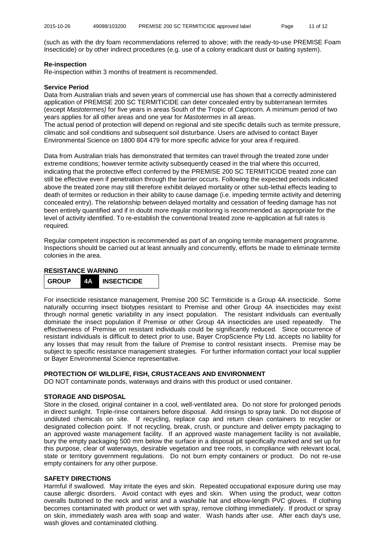(such as with the dry foam recommendations referred to above; with the ready-to-use PREMISE Foam Insecticide) or by other indirect procedures (e.g. use of a colony eradicant dust or baiting system).

#### **Re-inspection**

Re-inspection within 3 months of treatment is recommended.

#### **Service Period**

Data from Australian trials and seven years of commercial use has shown that a correctly administered application of PREMISE 200 SC TERMITICIDE can deter concealed entry by subterranean termites (except *Mastotermes)* for five years in areas South of the Tropic of Capricorn. A minimum period of two years applies for all other areas and one year for *Mastotermes* in all areas.

The actual period of protection will depend on regional and site specific details such as termite pressure, climatic and soil conditions and subsequent soil disturbance. Users are advised to contact Bayer Environmental Science on 1800 804 479 for more specific advice for your area if required.

Data from Australian trials has demonstrated that termites can travel through the treated zone under extreme conditions; however termite activity subsequently ceased in the trial where this occurred, indicating that the protective effect conferred by the PREMISE 200 SC TERMITICIDE treated zone can still be effective even if penetration through the barrier occurs. Following the expected periods indicated above the treated zone may still therefore exhibit delayed mortality or other sub-lethal effects leading to death of termites or reduction in their ability to cause damage (i.e. impeding termite activity and deterring concealed entry). The relationship between delayed mortality and cessation of feeding damage has not been entirely quantified and if in doubt more regular monitoring is recommended as appropriate for the level of activity identified. To re-establish the conventional treated zone re-application at full rates is required.

Regular competent inspection is recommended as part of an ongoing termite management programme. Inspections should be carried out at least annually and concurrently, efforts be made to eliminate termite colonies in the area.

#### **RESISTANCE WARNING**



For insecticide resistance management, Premise 200 SC Termiticide is a Group 4A insecticide. Some naturally occurring insect biotypes resistant to Premise and other Group 4A insecticides may exist through normal genetic variability in any insect population. The resistant individuals can eventually dominate the insect population if Premise or other Group 4A insecticides are used repeatedly. The effectiveness of Premise on resistant individuals could be significantly reduced. Since occurrence of resistant individuals is difficult to detect prior to use, Bayer CropScience Pty Ltd. accepts no liability for any losses that may result from the failure of Premise to control resistant insects. Premise may be subject to specific resistance management strategies. For further information contact your local supplier or Bayer Environmental Science representative.

## **PROTECTION OF WILDLIFE, FISH, CRUSTACEANS AND ENVIRONMENT**

DO NOT contaminate ponds, waterways and drains with this product or used container.

## **STORAGE AND DISPOSAL**

Store in the closed, original container in a cool, well-ventilated area. Do not store for prolonged periods in direct sunlight. Triple-rinse containers before disposal. Add rinsings to spray tank. Do not dispose of undiluted chemicals on site. If recycling, replace cap and return clean containers to recycler or designated collection point. If not recycling, break, crush, or puncture and deliver empty packaging to an approved waste management facility. If an approved waste management facility is not available, bury the empty packaging 500 mm below the surface in a disposal pit specifically marked and set up for this purpose, clear of waterways, desirable vegetation and tree roots, in compliance with relevant local, state or territory government regulations. Do not burn empty containers or product. Do not re-use empty containers for any other purpose.

## **SAFETY DIRECTIONS**

Harmful if swallowed. May irritate the eyes and skin. Repeated occupational exposure during use may cause allergic disorders. Avoid contact with eyes and skin. When using the product, wear cotton overalls buttoned to the neck and wrist and a washable hat and elbow-length PVC gloves. If clothing becomes contaminated with product or wet with spray, remove clothing immediately. If product or spray on skin, immediately wash area with soap and water. Wash hands after use. After each day's use, wash gloves and contaminated clothing.